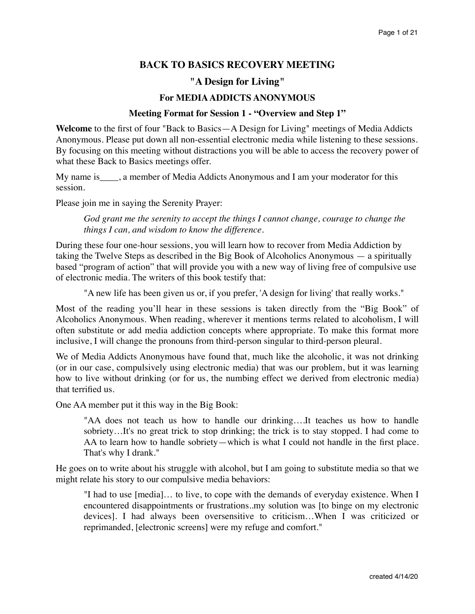# **BACK TO BASICS RECOVERY MEETING**

## **"A Design for Living"**

## **For MEDIA ADDICTS ANONYMOUS**

#### **Meeting Format for Session 1 - "Overview and Step 1"**

**Welcome** to the first of four "Back to Basics—A Design for Living" meetings of Media Addicts Anonymous. Please put down all non-essential electronic media while listening to these sessions. By focusing on this meeting without distractions you will be able to access the recovery power of what these Back to Basics meetings offer.

My name is\_\_\_\_, a member of Media Addicts Anonymous and I am your moderator for this session.

Please join me in saying the Serenity Prayer:

*God grant me the serenity to accept the things I cannot change, courage to change the things I can, and wisdom to know the difference.*

During these four one-hour sessions, you will learn how to recover from Media Addiction by taking the Twelve Steps as described in the Big Book of Alcoholics Anonymous — a spiritually based "program of action" that will provide you with a new way of living free of compulsive use of electronic media. The writers of this book testify that:

"A new life has been given us or, if you prefer, 'A design for living' that really works."

Most of the reading you'll hear in these sessions is taken directly from the "Big Book" of Alcoholics Anonymous. When reading, wherever it mentions terms related to alcoholism, I will often substitute or add media addiction concepts where appropriate. To make this format more inclusive, I will change the pronouns from third-person singular to third-person pleural.

We of Media Addicts Anonymous have found that, much like the alcoholic, it was not drinking (or in our case, compulsively using electronic media) that was our problem, but it was learning how to live without drinking (or for us, the numbing effect we derived from electronic media) that terrified us.

One AA member put it this way in the Big Book:

"AA does not teach us how to handle our drinking….It teaches us how to handle sobriety…It's no great trick to stop drinking; the trick is to stay stopped. I had come to AA to learn how to handle sobriety—which is what I could not handle in the first place. That's why I drank."

He goes on to write about his struggle with alcohol, but I am going to substitute media so that we might relate his story to our compulsive media behaviors:

"I had to use [media]… to live, to cope with the demands of everyday existence. When I encountered disappointments or frustrations..my solution was [to binge on my electronic devices]. I had always been oversensitive to criticism…When I was criticized or reprimanded, [electronic screens] were my refuge and comfort."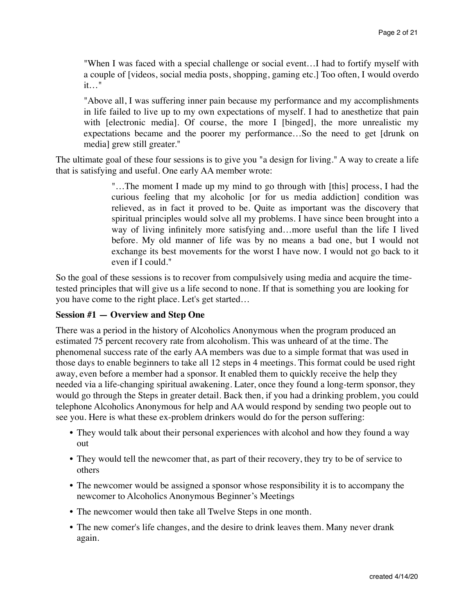"When I was faced with a special challenge or social event…I had to fortify myself with a couple of [videos, social media posts, shopping, gaming etc.] Too often, I would overdo it…"

"Above all, I was suffering inner pain because my performance and my accomplishments in life failed to live up to my own expectations of myself. I had to anesthetize that pain with [electronic media]. Of course, the more I [binged], the more unrealistic my expectations became and the poorer my performance…So the need to get [drunk on media] grew still greater."

The ultimate goal of these four sessions is to give you "a design for living." A way to create a life that is satisfying and useful. One early AA member wrote:

> "…The moment I made up my mind to go through with [this] process, I had the curious feeling that my alcoholic [or for us media addiction] condition was relieved, as in fact it proved to be. Quite as important was the discovery that spiritual principles would solve all my problems. I have since been brought into a way of living infinitely more satisfying and…more useful than the life I lived before. My old manner of life was by no means a bad one, but I would not exchange its best movements for the worst I have now. I would not go back to it even if I could."

So the goal of these sessions is to recover from compulsively using media and acquire the timetested principles that will give us a life second to none. If that is something you are looking for you have come to the right place. Let's get started…

## **Session #1 — Overview and Step One**

There was a period in the history of Alcoholics Anonymous when the program produced an estimated 75 percent recovery rate from alcoholism. This was unheard of at the time. The phenomenal success rate of the early AA members was due to a simple format that was used in those days to enable beginners to take all 12 steps in 4 meetings. This format could be used right away, even before a member had a sponsor. It enabled them to quickly receive the help they needed via a life-changing spiritual awakening. Later, once they found a long-term sponsor, they would go through the Steps in greater detail. Back then, if you had a drinking problem, you could telephone Alcoholics Anonymous for help and AA would respond by sending two people out to see you. Here is what these ex-problem drinkers would do for the person suffering:

- They would talk about their personal experiences with alcohol and how they found a way out
- They would tell the newcomer that, as part of their recovery, they try to be of service to others
- The newcomer would be assigned a sponsor whose responsibility it is to accompany the newcomer to Alcoholics Anonymous Beginner's Meetings
- The newcomer would then take all Twelve Steps in one month.
- The new comer's life changes, and the desire to drink leaves them. Many never drank again.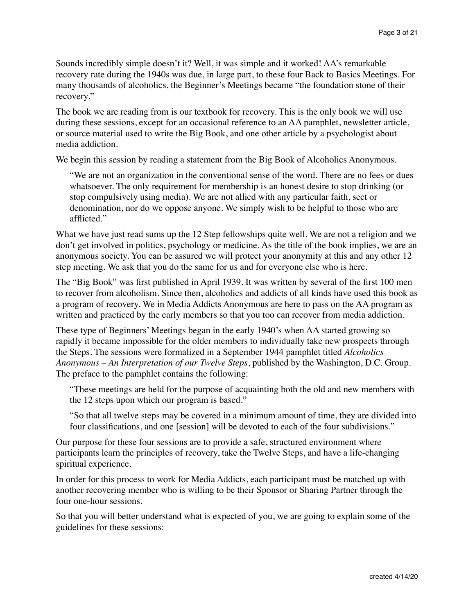Sounds incredibly simple doesn't it? Well, it was simple and it worked! AA's remarkable recovery rate during the 1940s was due, in large part, to these four Back to Basics Meetings. For many thousands of alcoholics, the Beginner's Meetings became "the foundation stone of their recovery."

The book we are reading from is our textbook for recovery. This is the only book we will use during these sessions, except for an occasional reference to an AA pamphlet, newsletter article, or source material used to write the Big Book, and one other article by a psychologist about media addiction.

We begin this session by reading a statement from the Big Book of Alcoholics Anonymous.

"We are not an organization in the conventional sense of the word. There are no fees or dues whatsoever. The only requirement for membership is an honest desire to stop drinking (or stop compulsively using media). We are not allied with any particular faith, sect or denomination, nor do we oppose anyone. We simply wish to be helpful to those who are afflicted."

What we have just read sums up the 12 Step fellowships quite well. We are not a religion and we don't get involved in politics, psychology or medicine. As the title of the book implies, we are an anonymous society. You can be assured we will protect your anonymity at this and any other 12 step meeting. We ask that you do the same for us and for everyone else who is here.

The "Big Book" was first published in April 1939. It was written by several of the first 100 men to recover from alcoholism. Since then, alcoholics and addicts of all kinds have used this book as a program of recovery. We in Media Addicts Anonymous are here to pass on the AA program as written and practiced by the early members so that you too can recover from media addiction.

These type of Beginners' Meetings began in the early 1940's when AA started growing so rapidly it became impossible for the older members to individually take new prospects through the Steps. The sessions were formalized in a September 1944 pamphlet titled *Alcoholics Anonymous – An Interpretation of our Twelve Steps*, published by the Washington, D.C. Group. The preface to the pamphlet contains the following:

"These meetings are held for the purpose of acquainting both the old and new members with the 12 steps upon which our program is based."

"So that all twelve steps may be covered in a minimum amount of time, they are divided into four classifications, and one [session] will be devoted to each of the four subdivisions."

Our purpose for these four sessions are to provide a safe, structured environment where participants learn the principles of recovery, take the Twelve Steps, and have a life-changing spiritual experience.

In order for this process to work for Media Addicts, each participant must be matched up with another recovering member who is willing to be their Sponsor or Sharing Partner through the four one-hour sessions.

So that you will better understand what is expected of you, we are going to explain some of the guidelines for these sessions: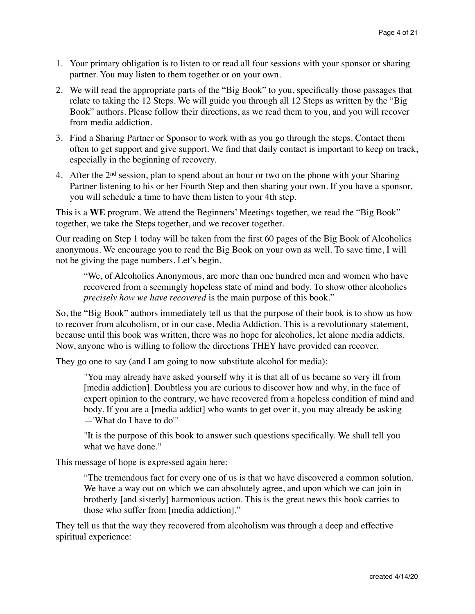- 1. Your primary obligation is to listen to or read all four sessions with your sponsor or sharing partner. You may listen to them together or on your own.
- 2. We will read the appropriate parts of the "Big Book" to you, specifically those passages that relate to taking the 12 Steps. We will guide you through all 12 Steps as written by the "Big Book" authors. Please follow their directions, as we read them to you, and you will recover from media addiction.
- 3. Find a Sharing Partner or Sponsor to work with as you go through the steps. Contact them often to get support and give support. We find that daily contact is important to keep on track, especially in the beginning of recovery.
- 4. After the 2nd session, plan to spend about an hour or two on the phone with your Sharing Partner listening to his or her Fourth Step and then sharing your own. If you have a sponsor, you will schedule a time to have them listen to your 4th step.

This is a **WE** program. We attend the Beginners' Meetings together, we read the "Big Book" together, we take the Steps together, and we recover together.

Our reading on Step 1 today will be taken from the first 60 pages of the Big Book of Alcoholics anonymous. We encourage you to read the Big Book on your own as well. To save time, I will not be giving the page numbers. Let's begin.

"We, of Alcoholics Anonymous, are more than one hundred men and women who have recovered from a seemingly hopeless state of mind and body. To show other alcoholics *precisely how we have recovered* is the main purpose of this book."

So, the "Big Book" authors immediately tell us that the purpose of their book is to show us how to recover from alcoholism, or in our case, Media Addiction. This is a revolutionary statement, because until this book was written, there was no hope for alcoholics, let alone media addicts. Now, anyone who is willing to follow the directions THEY have provided can recover.

They go one to say (and I am going to now substitute alcohol for media):

"You may already have asked yourself why it is that all of us became so very ill from [media addiction]. Doubtless you are curious to discover how and why, in the face of expert opinion to the contrary, we have recovered from a hopeless condition of mind and body. If you are a [media addict] who wants to get over it, you may already be asking —'What do I have to do'"

"It is the purpose of this book to answer such questions specifically. We shall tell you what we have done."

This message of hope is expressed again here:

"The tremendous fact for every one of us is that we have discovered a common solution. We have a way out on which we can absolutely agree, and upon which we can join in brotherly [and sisterly] harmonious action. This is the great news this book carries to those who suffer from [media addiction]."

They tell us that the way they recovered from alcoholism was through a deep and effective spiritual experience: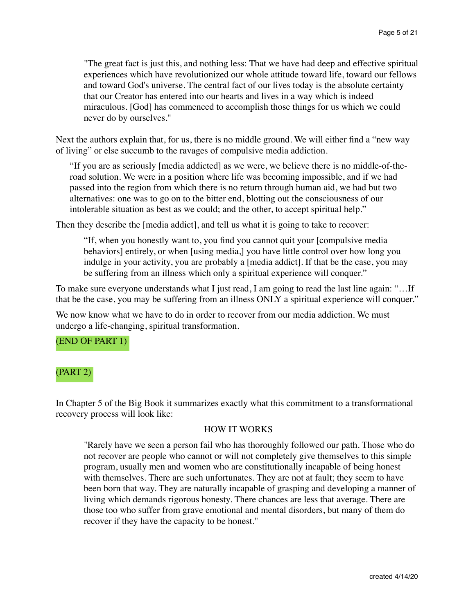"The great fact is just this, and nothing less: That we have had deep and effective spiritual experiences which have revolutionized our whole attitude toward life, toward our fellows and toward God's universe. The central fact of our lives today is the absolute certainty that our Creator has entered into our hearts and lives in a way which is indeed miraculous. [God] has commenced to accomplish those things for us which we could never do by ourselves."

Next the authors explain that, for us, there is no middle ground. We will either find a "new way of living" or else succumb to the ravages of compulsive media addiction.

"If you are as seriously [media addicted] as we were, we believe there is no middle-of-theroad solution. We were in a position where life was becoming impossible, and if we had passed into the region from which there is no return through human aid, we had but two alternatives: one was to go on to the bitter end, blotting out the consciousness of our intolerable situation as best as we could; and the other, to accept spiritual help."

Then they describe the [media addict], and tell us what it is going to take to recover:

"If, when you honestly want to, you find you cannot quit your [compulsive media behaviors] entirely, or when [using media,] you have little control over how long you indulge in your activity, you are probably a [media addict]. If that be the case, you may be suffering from an illness which only a spiritual experience will conquer."

To make sure everyone understands what I just read, I am going to read the last line again: "…If that be the case, you may be suffering from an illness ONLY a spiritual experience will conquer."

We now know what we have to do in order to recover from our media addiction. We must undergo a life-changing, spiritual transformation.

## (END OF PART 1)

## (PART 2)

In Chapter 5 of the Big Book it summarizes exactly what this commitment to a transformational recovery process will look like:

#### HOW IT WORKS

"Rarely have we seen a person fail who has thoroughly followed our path. Those who do not recover are people who cannot or will not completely give themselves to this simple program, usually men and women who are constitutionally incapable of being honest with themselves. There are such unfortunates. They are not at fault; they seem to have been born that way. They are naturally incapable of grasping and developing a manner of living which demands rigorous honesty. There chances are less that average. There are those too who suffer from grave emotional and mental disorders, but many of them do recover if they have the capacity to be honest."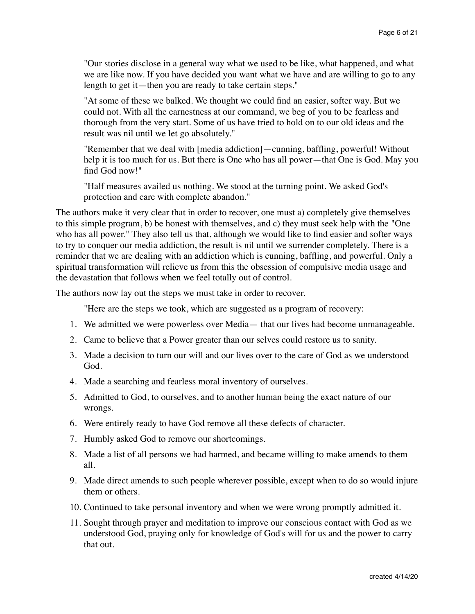"Our stories disclose in a general way what we used to be like, what happened, and what we are like now. If you have decided you want what we have and are willing to go to any length to get it—then you are ready to take certain steps."

"At some of these we balked. We thought we could find an easier, softer way. But we could not. With all the earnestness at our command, we beg of you to be fearless and thorough from the very start. Some of us have tried to hold on to our old ideas and the result was nil until we let go absolutely."

"Remember that we deal with [media addiction]—cunning, baffling, powerful! Without help it is too much for us. But there is One who has all power—that One is God. May you find God now!"

"Half measures availed us nothing. We stood at the turning point. We asked God's protection and care with complete abandon."

The authors make it very clear that in order to recover, one must a) completely give themselves to this simple program, b) be honest with themselves, and c) they must seek help with the "One who has all power." They also tell us that, although we would like to find easier and softer ways to try to conquer our media addiction, the result is nil until we surrender completely. There is a reminder that we are dealing with an addiction which is cunning, baffling, and powerful. Only a spiritual transformation will relieve us from this the obsession of compulsive media usage and the devastation that follows when we feel totally out of control.

The authors now lay out the steps we must take in order to recover.

"Here are the steps we took, which are suggested as a program of recovery:

- 1. We admitted we were powerless over Media— that our lives had become unmanageable.
- 2. Came to believe that a Power greater than our selves could restore us to sanity.
- 3. Made a decision to turn our will and our lives over to the care of God as we understood God.
- 4. Made a searching and fearless moral inventory of ourselves.
- 5. Admitted to God, to ourselves, and to another human being the exact nature of our wrongs.
- 6. Were entirely ready to have God remove all these defects of character.
- 7. Humbly asked God to remove our shortcomings.
- 8. Made a list of all persons we had harmed, and became willing to make amends to them all.
- 9. Made direct amends to such people wherever possible, except when to do so would injure them or others.
- 10. Continued to take personal inventory and when we were wrong promptly admitted it.
- 11. Sought through prayer and meditation to improve our conscious contact with God as we understood God, praying only for knowledge of God's will for us and the power to carry that out.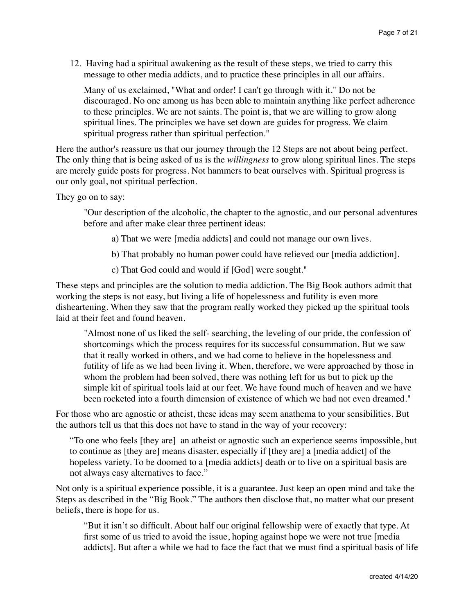12. Having had a spiritual awakening as the result of these steps, we tried to carry this message to other media addicts, and to practice these principles in all our affairs.

Many of us exclaimed, "What and order! I can't go through with it." Do not be discouraged. No one among us has been able to maintain anything like perfect adherence to these principles. We are not saints. The point is, that we are willing to grow along spiritual lines. The principles we have set down are guides for progress. We claim spiritual progress rather than spiritual perfection."

Here the author's reassure us that our journey through the 12 Steps are not about being perfect. The only thing that is being asked of us is the *willingness* to grow along spiritual lines. The steps are merely guide posts for progress. Not hammers to beat ourselves with. Spiritual progress is our only goal, not spiritual perfection.

They go on to say:

"Our description of the alcoholic, the chapter to the agnostic, and our personal adventures before and after make clear three pertinent ideas:

- a) That we were [media addicts] and could not manage our own lives.
- b) That probably no human power could have relieved our [media addiction].
- c) That God could and would if [God] were sought."

These steps and principles are the solution to media addiction. The Big Book authors admit that working the steps is not easy, but living a life of hopelessness and futility is even more disheartening. When they saw that the program really worked they picked up the spiritual tools laid at their feet and found heaven.

"Almost none of us liked the self- searching, the leveling of our pride, the confession of shortcomings which the process requires for its successful consummation. But we saw that it really worked in others, and we had come to believe in the hopelessness and futility of life as we had been living it. When, therefore, we were approached by those in whom the problem had been solved, there was nothing left for us but to pick up the simple kit of spiritual tools laid at our feet. We have found much of heaven and we have been rocketed into a fourth dimension of existence of which we had not even dreamed."

For those who are agnostic or atheist, these ideas may seem anathema to your sensibilities. But the authors tell us that this does not have to stand in the way of your recovery:

"To one who feels [they are] an atheist or agnostic such an experience seems impossible, but to continue as [they are] means disaster, especially if [they are] a [media addict] of the hopeless variety. To be doomed to a [media addicts] death or to live on a spiritual basis are not always easy alternatives to face."

Not only is a spiritual experience possible, it is a guarantee. Just keep an open mind and take the Steps as described in the "Big Book." The authors then disclose that, no matter what our present beliefs, there is hope for us.

"But it isn't so difficult. About half our original fellowship were of exactly that type. At first some of us tried to avoid the issue, hoping against hope we were not true [media addicts]. But after a while we had to face the fact that we must find a spiritual basis of life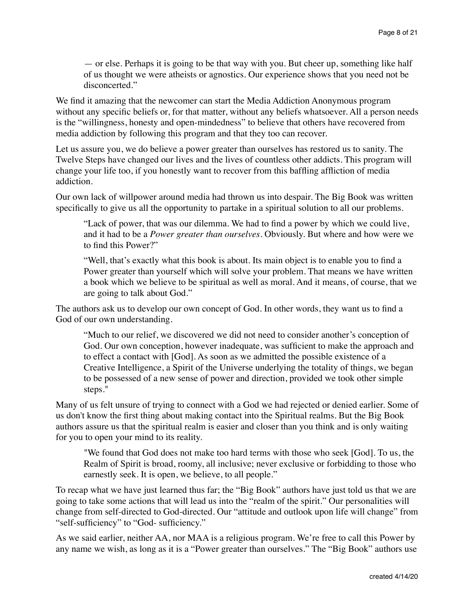— or else. Perhaps it is going to be that way with you. But cheer up, something like half of us thought we were atheists or agnostics. Our experience shows that you need not be disconcerted."

We find it amazing that the newcomer can start the Media Addiction Anonymous program without any specific beliefs or, for that matter, without any beliefs whatsoever. All a person needs is the "willingness, honesty and open-mindedness" to believe that others have recovered from media addiction by following this program and that they too can recover.

Let us assure you, we do believe a power greater than ourselves has restored us to sanity. The Twelve Steps have changed our lives and the lives of countless other addicts. This program will change your life too, if you honestly want to recover from this baffling affliction of media addiction.

Our own lack of willpower around media had thrown us into despair. The Big Book was written specifically to give us all the opportunity to partake in a spiritual solution to all our problems.

"Lack of power, that was our dilemma. We had to find a power by which we could live, and it had to be a *Power greater than ourselves.* Obviously. But where and how were we to find this Power?"

"Well, that's exactly what this book is about. Its main object is to enable you to find a Power greater than yourself which will solve your problem. That means we have written a book which we believe to be spiritual as well as moral. And it means, of course, that we are going to talk about God."

The authors ask us to develop our own concept of God. In other words, they want us to find a God of our own understanding.

"Much to our relief, we discovered we did not need to consider another's conception of God. Our own conception, however inadequate, was sufficient to make the approach and to effect a contact with [God]. As soon as we admitted the possible existence of a Creative Intelligence, a Spirit of the Universe underlying the totality of things, we began to be possessed of a new sense of power and direction, provided we took other simple steps."

Many of us felt unsure of trying to connect with a God we had rejected or denied earlier. Some of us don't know the first thing about making contact into the Spiritual realms. But the Big Book authors assure us that the spiritual realm is easier and closer than you think and is only waiting for you to open your mind to its reality.

"We found that God does not make too hard terms with those who seek [God]. To us, the Realm of Spirit is broad, roomy, all inclusive; never exclusive or forbidding to those who earnestly seek. It is open, we believe, to all people."

To recap what we have just learned thus far; the "Big Book" authors have just told us that we are going to take some actions that will lead us into the "realm of the spirit." Our personalities will change from self-directed to God-directed. Our "attitude and outlook upon life will change" from "self-sufficiency" to "God- sufficiency."

As we said earlier, neither AA, nor MAA is a religious program. We're free to call this Power by any name we wish, as long as it is a "Power greater than ourselves." The "Big Book" authors use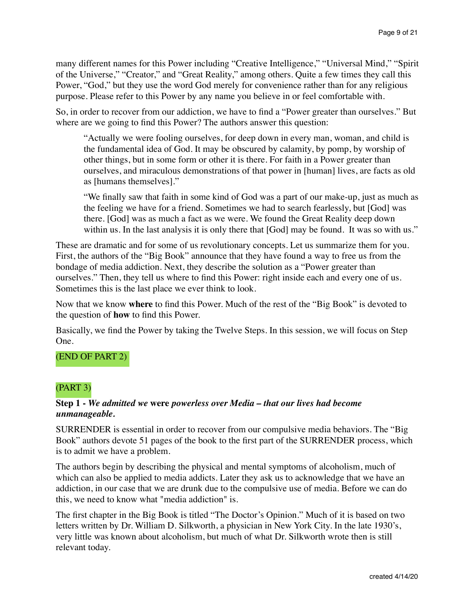many different names for this Power including "Creative Intelligence," "Universal Mind," "Spirit of the Universe," "Creator," and "Great Reality," among others. Quite a few times they call this Power, "God," but they use the word God merely for convenience rather than for any religious purpose. Please refer to this Power by any name you believe in or feel comfortable with.

So, in order to recover from our addiction, we have to find a "Power greater than ourselves." But where are we going to find this Power? The authors answer this question:

"Actually we were fooling ourselves, for deep down in every man, woman, and child is the fundamental idea of God. It may be obscured by calamity, by pomp, by worship of other things, but in some form or other it is there. For faith in a Power greater than ourselves, and miraculous demonstrations of that power in [human] lives, are facts as old as [humans themselves]."

"We finally saw that faith in some kind of God was a part of our make-up, just as much as the feeling we have for a friend. Sometimes we had to search fearlessly, but [God] was there. [God] was as much a fact as we were. We found the Great Reality deep down within us. In the last analysis it is only there that [God] may be found. It was so with us."

These are dramatic and for some of us revolutionary concepts. Let us summarize them for you. First, the authors of the "Big Book" announce that they have found a way to free us from the bondage of media addiction. Next, they describe the solution as a "Power greater than ourselves." Then, they tell us where to find this Power: right inside each and every one of us. Sometimes this is the last place we ever think to look.

Now that we know **where** to find this Power. Much of the rest of the "Big Book" is devoted to the question of **how** to find this Power.

Basically, we find the Power by taking the Twelve Steps. In this session, we will focus on Step One.

# (END OF PART 2)

# (PART 3)

## **Step 1 -** *We admitted we* **were** *powerless over Media – that our lives had become unmanageable.*

SURRENDER is essential in order to recover from our compulsive media behaviors. The "Big Book" authors devote 51 pages of the book to the first part of the SURRENDER process, which is to admit we have a problem.

The authors begin by describing the physical and mental symptoms of alcoholism, much of which can also be applied to media addicts. Later they ask us to acknowledge that we have an addiction, in our case that we are drunk due to the compulsive use of media. Before we can do this, we need to know what "media addiction" is.

The first chapter in the Big Book is titled "The Doctor's Opinion." Much of it is based on two letters written by Dr. William D. Silkworth, a physician in New York City. In the late 1930's, very little was known about alcoholism, but much of what Dr. Silkworth wrote then is still relevant today.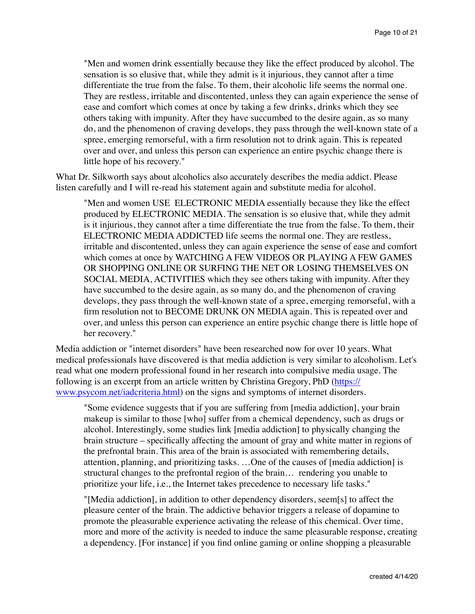"Men and women drink essentially because they like the effect produced by alcohol. The sensation is so elusive that, while they admit is it injurious, they cannot after a time differentiate the true from the false. To them, their alcoholic life seems the normal one. They are restless, irritable and discontented, unless they can again experience the sense of ease and comfort which comes at once by taking a few drinks, drinks which they see others taking with impunity. After they have succumbed to the desire again, as so many do, and the phenomenon of craving develops, they pass through the well-known state of a spree, emerging remorseful, with a firm resolution not to drink again. This is repeated over and over, and unless this person can experience an entire psychic change there is little hope of his recovery."

What Dr. Silkworth says about alcoholics also accurately describes the media addict. Please listen carefully and I will re-read his statement again and substitute media for alcohol.

"Men and women USE ELECTRONIC MEDIA essentially because they like the effect produced by ELECTRONIC MEDIA. The sensation is so elusive that, while they admit is it injurious, they cannot after a time differentiate the true from the false. To them, their ELECTRONIC MEDIA ADDICTED life seems the normal one. They are restless, irritable and discontented, unless they can again experience the sense of ease and comfort which comes at once by WATCHING A FEW VIDEOS OR PLAYING A FEW GAMES OR SHOPPING ONLINE OR SURFING THE NET OR LOSING THEMSELVES ON SOCIAL MEDIA, ACTIVITIES which they see others taking with impunity. After they have succumbed to the desire again, as so many do, and the phenomenon of craving develops, they pass through the well-known state of a spree, emerging remorseful, with a firm resolution not to BECOME DRUNK ON MEDIA again. This is repeated over and over, and unless this person can experience an entire psychic change there is little hope of her recovery."

Media addiction or "internet disorders" have been researched now for over 10 years. What medical professionals have discovered is that media addiction is very similar to alcoholism. Let's read what one modern professional found in her research into compulsive media usage. The following is an excerpt from an article written by Christina Gregory, PhD (https:// [www.psycom.net/iadcriteria.html\) on the signs and symptoms of internet disorders](https://www.psycom.net/iadcriteria.html).

"Some evidence suggests that if you are suffering from [media addiction], your brain makeup is similar to those [who] suffer from a chemical dependency, such as drugs or alcohol. Interestingly, some studies link [media addiction] to physically changing the brain structure – specifically affecting the amount of gray and white matter in regions of the prefrontal brain. This area of the brain is associated with remembering details, attention, planning, and prioritizing tasks. …One of the causes of [media addiction] is structural changes to the prefrontal region of the brain… rendering you unable to prioritize your life, i.e., the Internet takes precedence to necessary life tasks."

"[Media addiction], in addition to other dependency disorders, seem[s] to affect the pleasure center of the brain. The addictive behavior triggers a release of dopamine to promote the pleasurable experience activating the release of this chemical. Over time, more and more of the activity is needed to induce the same pleasurable response, creating a dependency. [For instance] if you find online gaming or online shopping a pleasurable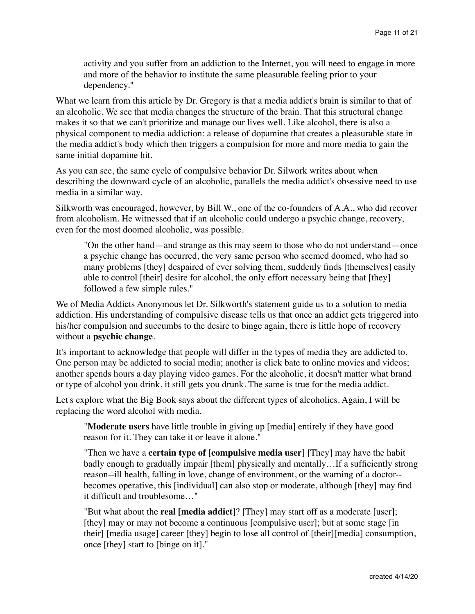activity and you suffer from an addiction to the Internet, you will need to engage in more and more of the behavior to institute the same pleasurable feeling prior to your dependency."

What we learn from this article by Dr. Gregory is that a media addict's brain is similar to that of an alcoholic. We see that media changes the structure of the brain. That this structural change makes it so that we can't prioritize and manage our lives well. Like alcohol, there is also a physical component to media addiction: a release of dopamine that creates a pleasurable state in the media addict's body which then triggers a compulsion for more and more media to gain the same initial dopamine hit.

As you can see, the same cycle of compulsive behavior Dr. Silwork writes about when describing the downward cycle of an alcoholic, parallels the media addict's obsessive need to use media in a similar way.

Silkworth was encouraged, however, by Bill W., one of the co-founders of A.A., who did recover from alcoholism. He witnessed that if an alcoholic could undergo a psychic change, recovery, even for the most doomed alcoholic, was possible.

"On the other hand—and strange as this may seem to those who do not understand—once a psychic change has occurred, the very same person who seemed doomed, who had so many problems [they] despaired of ever solving them, suddenly finds [themselves] easily able to control [their] desire for alcohol, the only effort necessary being that [they] followed a few simple rules."

We of Media Addicts Anonymous let Dr. Silkworth's statement guide us to a solution to media addiction. His understanding of compulsive disease tells us that once an addict gets triggered into his/her compulsion and succumbs to the desire to binge again, there is little hope of recovery without a **psychic change**.

It's important to acknowledge that people will differ in the types of media they are addicted to. One person may be addicted to social media; another is click bate to online movies and videos; another spends hours a day playing video games. For the alcoholic, it doesn't matter what brand or type of alcohol you drink, it still gets you drunk. The same is true for the media addict.

Let's explore what the Big Book says about the different types of alcoholics. Again, I will be replacing the word alcohol with media.

"**Moderate users** have little trouble in giving up [media] entirely if they have good reason for it. They can take it or leave it alone."

"Then we have a **certain type of [compulsive media user]** [They] may have the habit badly enough to gradually impair [them] physically and mentally…If a sufficiently strong reason--ill health, falling in love, change of environment, or the warning of a doctor- becomes operative, this [individual] can also stop or moderate, although [they] may find it difficult and troublesome…"

"But what about the **real [media addict]**? [They] may start off as a moderate [user]; [they] may or may not become a continuous [compulsive user]; but at some stage [in their] [media usage] career [they] begin to lose all control of [their][media] consumption, once [they] start to [binge on it]."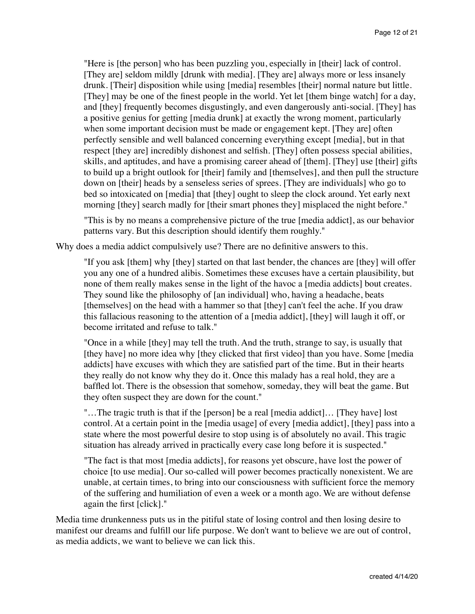"Here is [the person] who has been puzzling you, especially in [their] lack of control. [They are] seldom mildly [drunk with media]. [They are] always more or less insanely drunk. [Their] disposition while using [media] resembles [their] normal nature but little. [They] may be one of the finest people in the world. Yet let [them binge watch] for a day, and [they] frequently becomes disgustingly, and even dangerously anti-social. [They] has a positive genius for getting [media drunk] at exactly the wrong moment, particularly when some important decision must be made or engagement kept. [They are] often perfectly sensible and well balanced concerning everything except [media], but in that respect [they are] incredibly dishonest and selfish. [They] often possess special abilities, skills, and aptitudes, and have a promising career ahead of [them]. [They] use [their] gifts to build up a bright outlook for [their] family and [themselves], and then pull the structure down on [their] heads by a senseless series of sprees. [They are individuals] who go to bed so intoxicated on [media] that [they] ought to sleep the clock around. Yet early next morning [they] search madly for [their smart phones they] misplaced the night before."

"This is by no means a comprehensive picture of the true [media addict], as our behavior patterns vary. But this description should identify them roughly."

Why does a media addict compulsively use? There are no definitive answers to this.

"If you ask [them] why [they] started on that last bender, the chances are [they] will offer you any one of a hundred alibis. Sometimes these excuses have a certain plausibility, but none of them really makes sense in the light of the havoc a [media addicts] bout creates. They sound like the philosophy of [an individual] who, having a headache, beats [themselves] on the head with a hammer so that [they] can't feel the ache. If you draw this fallacious reasoning to the attention of a [media addict], [they] will laugh it off, or become irritated and refuse to talk."

"Once in a while [they] may tell the truth. And the truth, strange to say, is usually that [they have] no more idea why [they clicked that first video] than you have. Some [media] addicts] have excuses with which they are satisfied part of the time. But in their hearts they really do not know why they do it. Once this malady has a real hold, they are a baffled lot. There is the obsession that somehow, someday, they will beat the game. But they often suspect they are down for the count."

"…The tragic truth is that if the [person] be a real [media addict]… [They have] lost control. At a certain point in the [media usage] of every [media addict], [they] pass into a state where the most powerful desire to stop using is of absolutely no avail. This tragic situation has already arrived in practically every case long before it is suspected."

"The fact is that most [media addicts], for reasons yet obscure, have lost the power of choice [to use media]. Our so-called will power becomes practically nonexistent. We are unable, at certain times, to bring into our consciousness with sufficient force the memory of the suffering and humiliation of even a week or a month ago. We are without defense again the first [click]."

Media time drunkenness puts us in the pitiful state of losing control and then losing desire to manifest our dreams and fulfill our life purpose. We don't want to believe we are out of control, as media addicts, we want to believe we can lick this.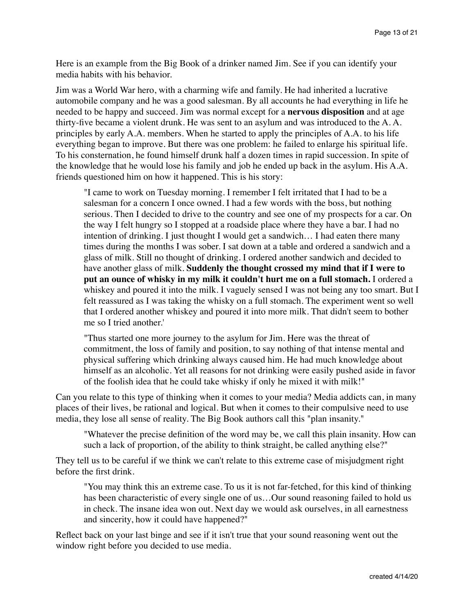Here is an example from the Big Book of a drinker named Jim. See if you can identify your media habits with his behavior.

Jim was a World War hero, with a charming wife and family. He had inherited a lucrative automobile company and he was a good salesman. By all accounts he had everything in life he needed to be happy and succeed. Jim was normal except for a **nervous disposition** and at age thirty-five became a violent drunk. He was sent to an asylum and was introduced to the A. A. principles by early A.A. members. When he started to apply the principles of A.A. to his life everything began to improve. But there was one problem: he failed to enlarge his spiritual life. To his consternation, he found himself drunk half a dozen times in rapid succession. In spite of the knowledge that he would lose his family and job he ended up back in the asylum. His A.A. friends questioned him on how it happened. This is his story:

"I came to work on Tuesday morning. I remember I felt irritated that I had to be a salesman for a concern I once owned. I had a few words with the boss, but nothing serious. Then I decided to drive to the country and see one of my prospects for a car. On the way I felt hungry so I stopped at a roadside place where they have a bar. I had no intention of drinking. I just thought I would get a sandwich… I had eaten there many times during the months I was sober. I sat down at a table and ordered a sandwich and a glass of milk. Still no thought of drinking. I ordered another sandwich and decided to have another glass of milk. **Suddenly the thought crossed my mind that if I were to put an ounce of whisky in my milk it couldn't hurt me on a full stomach.** I ordered a whiskey and poured it into the milk. I vaguely sensed I was not being any too smart. But I felt reassured as I was taking the whisky on a full stomach. The experiment went so well that I ordered another whiskey and poured it into more milk. That didn't seem to bother me so I tried another.'

"Thus started one more journey to the asylum for Jim. Here was the threat of commitment, the loss of family and position, to say nothing of that intense mental and physical suffering which drinking always caused him. He had much knowledge about himself as an alcoholic. Yet all reasons for not drinking were easily pushed aside in favor of the foolish idea that he could take whisky if only he mixed it with milk!"

Can you relate to this type of thinking when it comes to your media? Media addicts can, in many places of their lives, be rational and logical. But when it comes to their compulsive need to use media, they lose all sense of reality. The Big Book authors call this "plan insanity."

"Whatever the precise definition of the word may be, we call this plain insanity. How can such a lack of proportion, of the ability to think straight, be called anything else?"

They tell us to be careful if we think we can't relate to this extreme case of misjudgment right before the first drink.

"You may think this an extreme case. To us it is not far-fetched, for this kind of thinking has been characteristic of every single one of us…Our sound reasoning failed to hold us in check. The insane idea won out. Next day we would ask ourselves, in all earnestness and sincerity, how it could have happened?"

Reflect back on your last binge and see if it isn't true that your sound reasoning went out the window right before you decided to use media.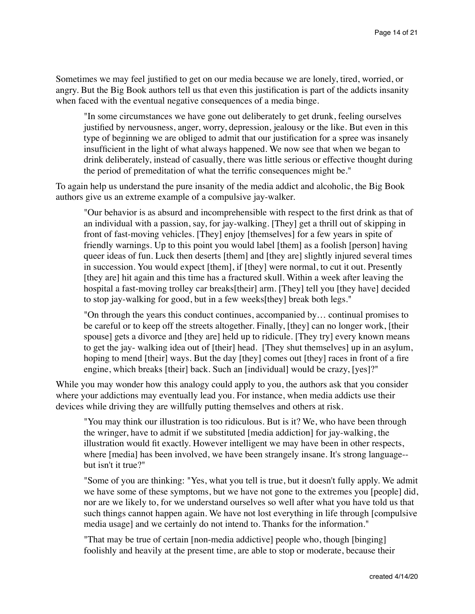Sometimes we may feel justified to get on our media because we are lonely, tired, worried, or angry. But the Big Book authors tell us that even this justification is part of the addicts insanity when faced with the eventual negative consequences of a media binge.

"In some circumstances we have gone out deliberately to get drunk, feeling ourselves justified by nervousness, anger, worry, depression, jealousy or the like. But even in this type of beginning we are obliged to admit that our justification for a spree was insanely insufficient in the light of what always happened. We now see that when we began to drink deliberately, instead of casually, there was little serious or effective thought during the period of premeditation of what the terrific consequences might be."

To again help us understand the pure insanity of the media addict and alcoholic, the Big Book authors give us an extreme example of a compulsive jay-walker.

"Our behavior is as absurd and incomprehensible with respect to the first drink as that of an individual with a passion, say, for jay-walking. [They] get a thrill out of skipping in front of fast-moving vehicles. [They] enjoy [themselves] for a few years in spite of friendly warnings. Up to this point you would label [them] as a foolish [person] having queer ideas of fun. Luck then deserts [them] and [they are] slightly injured several times in succession. You would expect [them], if [they] were normal, to cut it out. Presently [they are] hit again and this time has a fractured skull. Within a week after leaving the hospital a fast-moving trolley car breaks[their] arm. [They] tell you [they have] decided to stop jay-walking for good, but in a few weeks[they] break both legs."

"On through the years this conduct continues, accompanied by… continual promises to be careful or to keep off the streets altogether. Finally, [they] can no longer work, [their spouse] gets a divorce and [they are] held up to ridicule. [They try] every known means to get the jay- walking idea out of [their] head. [They shut themselves] up in an asylum, hoping to mend [their] ways. But the day [they] comes out [they] races in front of a fire engine, which breaks [their] back. Such an [individual] would be crazy, [yes]?"

While you may wonder how this analogy could apply to you, the authors ask that you consider where your addictions may eventually lead you. For instance, when media addicts use their devices while driving they are willfully putting themselves and others at risk.

"You may think our illustration is too ridiculous. But is it? We, who have been through the wringer, have to admit if we substituted [media addiction] for jay-walking, the illustration would fit exactly. However intelligent we may have been in other respects, where [media] has been involved, we have been strangely insane. It's strong language- but isn't it true?"

"Some of you are thinking: "Yes, what you tell is true, but it doesn't fully apply. We admit we have some of these symptoms, but we have not gone to the extremes you [people] did, nor are we likely to, for we understand ourselves so well after what you have told us that such things cannot happen again. We have not lost everything in life through [compulsive media usage] and we certainly do not intend to. Thanks for the information."

"That may be true of certain [non-media addictive] people who, though [binging] foolishly and heavily at the present time, are able to stop or moderate, because their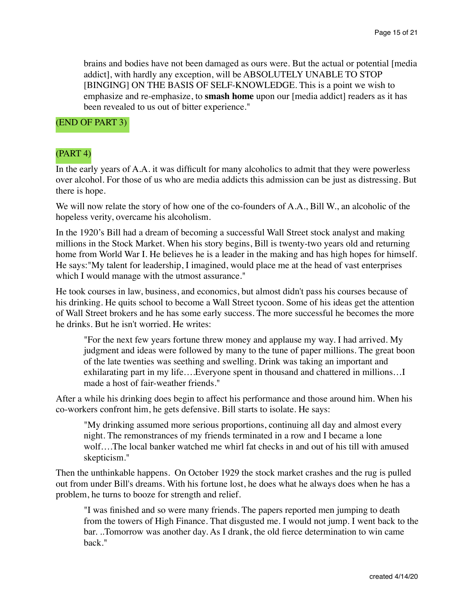brains and bodies have not been damaged as ours were. But the actual or potential [media addict], with hardly any exception, will be ABSOLUTELY UNABLE TO STOP [BINGING] ON THE BASIS OF SELF-KNOWLEDGE. This is a point we wish to emphasize and re-emphasize, to **smash home** upon our [media addict] readers as it has been revealed to us out of bitter experience."

(END OF PART 3)

# (PART 4)

In the early years of A.A. it was difficult for many alcoholics to admit that they were powerless over alcohol. For those of us who are media addicts this admission can be just as distressing. But there is hope.

We will now relate the story of how one of the co-founders of A.A., Bill W., an alcoholic of the hopeless verity, overcame his alcoholism.

In the 1920's Bill had a dream of becoming a successful Wall Street stock analyst and making millions in the Stock Market. When his story begins, Bill is twenty-two years old and returning home from World War I. He believes he is a leader in the making and has high hopes for himself. He says:"My talent for leadership, I imagined, would place me at the head of vast enterprises which I would manage with the utmost assurance."

He took courses in law, business, and economics, but almost didn't pass his courses because of his drinking. He quits school to become a Wall Street tycoon. Some of his ideas get the attention of Wall Street brokers and he has some early success. The more successful he becomes the more he drinks. But he isn't worried. He writes:

"For the next few years fortune threw money and applause my way. I had arrived. My judgment and ideas were followed by many to the tune of paper millions. The great boon of the late twenties was seething and swelling. Drink was taking an important and exhilarating part in my life….Everyone spent in thousand and chattered in millions…I made a host of fair-weather friends."

After a while his drinking does begin to affect his performance and those around him. When his co-workers confront him, he gets defensive. Bill starts to isolate. He says:

"My drinking assumed more serious proportions, continuing all day and almost every night. The remonstrances of my friends terminated in a row and I became a lone wolf….The local banker watched me whirl fat checks in and out of his till with amused skepticism."

Then the unthinkable happens. On October 1929 the stock market crashes and the rug is pulled out from under Bill's dreams. With his fortune lost, he does what he always does when he has a problem, he turns to booze for strength and relief.

"I was finished and so were many friends. The papers reported men jumping to death from the towers of High Finance. That disgusted me. I would not jump. I went back to the bar. ..Tomorrow was another day. As I drank, the old fierce determination to win came back."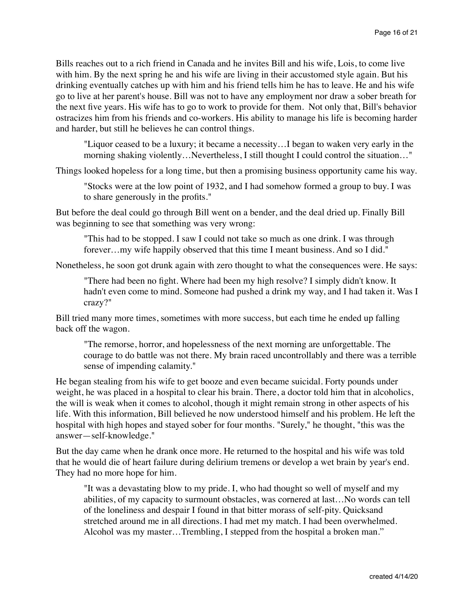Bills reaches out to a rich friend in Canada and he invites Bill and his wife, Lois, to come live with him. By the next spring he and his wife are living in their accustomed style again. But his drinking eventually catches up with him and his friend tells him he has to leave. He and his wife go to live at her parent's house. Bill was not to have any employment nor draw a sober breath for the next five years. His wife has to go to work to provide for them. Not only that, Bill's behavior ostracizes him from his friends and co-workers. His ability to manage his life is becoming harder and harder, but still he believes he can control things.

"Liquor ceased to be a luxury; it became a necessity…I began to waken very early in the morning shaking violently…Nevertheless, I still thought I could control the situation…"

Things looked hopeless for a long time, but then a promising business opportunity came his way.

"Stocks were at the low point of 1932, and I had somehow formed a group to buy. I was to share generously in the profits."

But before the deal could go through Bill went on a bender, and the deal dried up. Finally Bill was beginning to see that something was very wrong:

"This had to be stopped. I saw I could not take so much as one drink. I was through forever…my wife happily observed that this time I meant business. And so I did."

Nonetheless, he soon got drunk again with zero thought to what the consequences were. He says:

"There had been no fight. Where had been my high resolve? I simply didn't know. It hadn't even come to mind. Someone had pushed a drink my way, and I had taken it. Was I crazy?"

Bill tried many more times, sometimes with more success, but each time he ended up falling back off the wagon.

"The remorse, horror, and hopelessness of the next morning are unforgettable. The courage to do battle was not there. My brain raced uncontrollably and there was a terrible sense of impending calamity."

He began stealing from his wife to get booze and even became suicidal. Forty pounds under weight, he was placed in a hospital to clear his brain. There, a doctor told him that in alcoholics, the will is weak when it comes to alcohol, though it might remain strong in other aspects of his life. With this information, Bill believed he now understood himself and his problem. He left the hospital with high hopes and stayed sober for four months. "Surely," he thought, "this was the answer—self-knowledge."

But the day came when he drank once more. He returned to the hospital and his wife was told that he would die of heart failure during delirium tremens or develop a wet brain by year's end. They had no more hope for him.

"It was a devastating blow to my pride. I, who had thought so well of myself and my abilities, of my capacity to surmount obstacles, was cornered at last…No words can tell of the loneliness and despair I found in that bitter morass of self-pity. Quicksand stretched around me in all directions. I had met my match. I had been overwhelmed. Alcohol was my master…Trembling, I stepped from the hospital a broken man."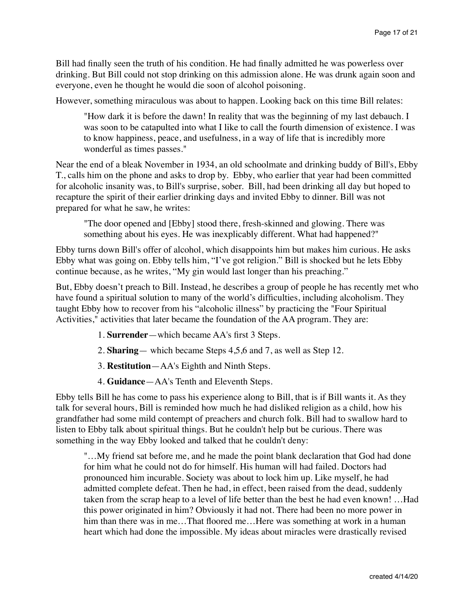Bill had finally seen the truth of his condition. He had finally admitted he was powerless over drinking. But Bill could not stop drinking on this admission alone. He was drunk again soon and everyone, even he thought he would die soon of alcohol poisoning.

However, something miraculous was about to happen. Looking back on this time Bill relates:

"How dark it is before the dawn! In reality that was the beginning of my last debauch. I was soon to be catapulted into what I like to call the fourth dimension of existence. I was to know happiness, peace, and usefulness, in a way of life that is incredibly more wonderful as times passes."

Near the end of a bleak November in 1934, an old schoolmate and drinking buddy of Bill's, Ebby T., calls him on the phone and asks to drop by. Ebby, who earlier that year had been committed for alcoholic insanity was, to Bill's surprise, sober. Bill, had been drinking all day but hoped to recapture the spirit of their earlier drinking days and invited Ebby to dinner. Bill was not prepared for what he saw, he writes:

"The door opened and [Ebby] stood there, fresh-skinned and glowing. There was something about his eyes. He was inexplicably different. What had happened?"

Ebby turns down Bill's offer of alcohol, which disappoints him but makes him curious. He asks Ebby what was going on. Ebby tells him, "I've got religion." Bill is shocked but he lets Ebby continue because, as he writes, "My gin would last longer than his preaching."

But, Ebby doesn't preach to Bill. Instead, he describes a group of people he has recently met who have found a spiritual solution to many of the world's difficulties, including alcoholism. They taught Ebby how to recover from his "alcoholic illness" by practicing the "Four Spiritual Activities," activities that later became the foundation of the AA program. They are:

- 1. **Surrender**—which became AA's first 3 Steps.
- 2. **Sharing** which became Steps 4,5,6 and 7, as well as Step 12.
- 3. **Restitution**—AA's Eighth and Ninth Steps.
- 4. **Guidance**—AA's Tenth and Eleventh Steps.

Ebby tells Bill he has come to pass his experience along to Bill, that is if Bill wants it. As they talk for several hours, Bill is reminded how much he had disliked religion as a child, how his grandfather had some mild contempt of preachers and church folk. Bill had to swallow hard to listen to Ebby talk about spiritual things. But he couldn't help but be curious. There was something in the way Ebby looked and talked that he couldn't deny:

"…My friend sat before me, and he made the point blank declaration that God had done for him what he could not do for himself. His human will had failed. Doctors had pronounced him incurable. Society was about to lock him up. Like myself, he had admitted complete defeat. Then he had, in effect, been raised from the dead, suddenly taken from the scrap heap to a level of life better than the best he had even known! …Had this power originated in him? Obviously it had not. There had been no more power in him than there was in me…That floored me…Here was something at work in a human heart which had done the impossible. My ideas about miracles were drastically revised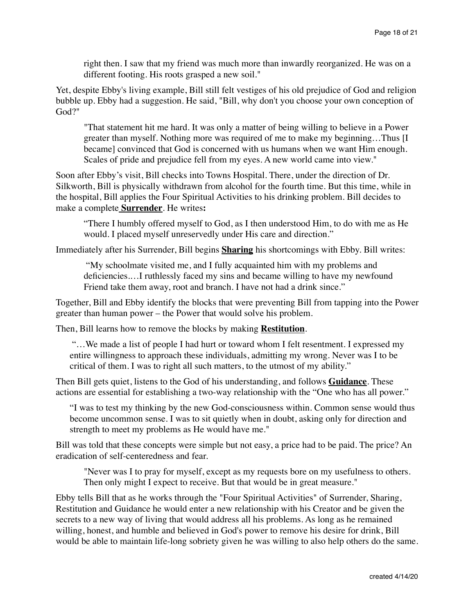right then. I saw that my friend was much more than inwardly reorganized. He was on a different footing. His roots grasped a new soil."

Yet, despite Ebby's living example, Bill still felt vestiges of his old prejudice of God and religion bubble up. Ebby had a suggestion. He said, "Bill, why don't you choose your own conception of God?"

"That statement hit me hard. It was only a matter of being willing to believe in a Power greater than myself. Nothing more was required of me to make my beginning…Thus [I became] convinced that God is concerned with us humans when we want Him enough. Scales of pride and prejudice fell from my eyes. A new world came into view."

Soon after Ebby's visit, Bill checks into Towns Hospital. There, under the direction of Dr. Silkworth, Bill is physically withdrawn from alcohol for the fourth time. But this time, while in the hospital, Bill applies the Four Spiritual Activities to his drinking problem. Bill decides to make a complete **Surrender**. He writes**:**

"There I humbly offered myself to God, as I then understood Him, to do with me as He would. I placed myself unreservedly under His care and direction."

Immediately after his Surrender, Bill begins **Sharing** his shortcomings with Ebby. Bill writes:

 "My schoolmate visited me, and I fully acquainted him with my problems and deficiencies.…I ruthlessly faced my sins and became willing to have my newfound Friend take them away, root and branch. I have not had a drink since."

Together, Bill and Ebby identify the blocks that were preventing Bill from tapping into the Power greater than human power – the Power that would solve his problem.

Then, Bill learns how to remove the blocks by making **Restitution**.

 "…We made a list of people I had hurt or toward whom I felt resentment. I expressed my entire willingness to approach these individuals, admitting my wrong. Never was I to be critical of them. I was to right all such matters, to the utmost of my ability."

Then Bill gets quiet, listens to the God of his understanding, and follows **Guidance**. These actions are essential for establishing a two-way relationship with the "One who has all power."

"I was to test my thinking by the new God-consciousness within. Common sense would thus become uncommon sense. I was to sit quietly when in doubt, asking only for direction and strength to meet my problems as He would have me."

Bill was told that these concepts were simple but not easy, a price had to be paid. The price? An eradication of self-centeredness and fear.

"Never was I to pray for myself, except as my requests bore on my usefulness to others. Then only might I expect to receive. But that would be in great measure."

Ebby tells Bill that as he works through the "Four Spiritual Activities" of Surrender, Sharing, Restitution and Guidance he would enter a new relationship with his Creator and be given the secrets to a new way of living that would address all his problems. As long as he remained willing, honest, and humble and believed in God's power to remove his desire for drink, Bill would be able to maintain life-long sobriety given he was willing to also help others do the same.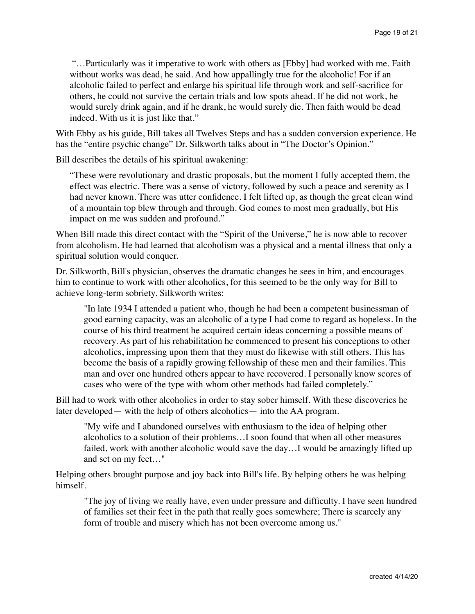"…Particularly was it imperative to work with others as [Ebby] had worked with me. Faith without works was dead, he said. And how appallingly true for the alcoholic! For if an alcoholic failed to perfect and enlarge his spiritual life through work and self-sacrifice for others, he could not survive the certain trials and low spots ahead. If he did not work, he would surely drink again, and if he drank, he would surely die. Then faith would be dead indeed. With us it is just like that."

With Ebby as his guide, Bill takes all Twelves Steps and has a sudden conversion experience. He has the "entire psychic change" Dr. Silkworth talks about in "The Doctor's Opinion."

Bill describes the details of his spiritual awakening:

"These were revolutionary and drastic proposals, but the moment I fully accepted them, the effect was electric. There was a sense of victory, followed by such a peace and serenity as I had never known. There was utter confidence. I felt lifted up, as though the great clean wind of a mountain top blew through and through. God comes to most men gradually, but His impact on me was sudden and profound."

When Bill made this direct contact with the "Spirit of the Universe," he is now able to recover from alcoholism. He had learned that alcoholism was a physical and a mental illness that only a spiritual solution would conquer.

Dr. Silkworth, Bill's physician, observes the dramatic changes he sees in him, and encourages him to continue to work with other alcoholics, for this seemed to be the only way for Bill to achieve long-term sobriety. Silkworth writes:

"In late 1934 I attended a patient who, though he had been a competent businessman of good earning capacity, was an alcoholic of a type I had come to regard as hopeless. In the course of his third treatment he acquired certain ideas concerning a possible means of recovery. As part of his rehabilitation he commenced to present his conceptions to other alcoholics, impressing upon them that they must do likewise with still others. This has become the basis of a rapidly growing fellowship of these men and their families. This man and over one hundred others appear to have recovered. I personally know scores of cases who were of the type with whom other methods had failed completely."

Bill had to work with other alcoholics in order to stay sober himself. With these discoveries he later developed— with the help of others alcoholics— into the AA program.

"My wife and I abandoned ourselves with enthusiasm to the idea of helping other alcoholics to a solution of their problems…I soon found that when all other measures failed, work with another alcoholic would save the day…I would be amazingly lifted up and set on my feet…"

Helping others brought purpose and joy back into Bill's life. By helping others he was helping himself.

"The joy of living we really have, even under pressure and difficulty. I have seen hundred of families set their feet in the path that really goes somewhere; There is scarcely any form of trouble and misery which has not been overcome among us."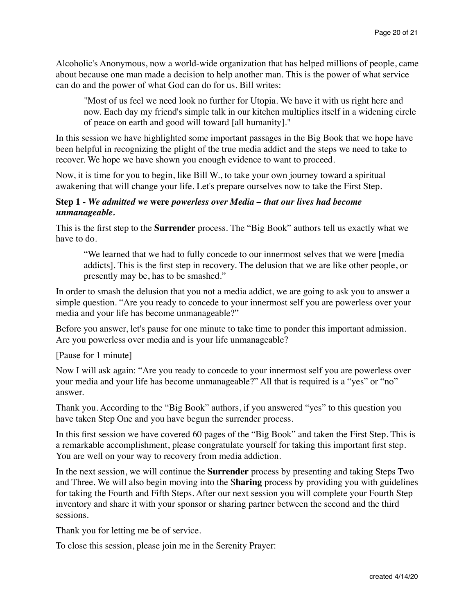Alcoholic's Anonymous, now a world-wide organization that has helped millions of people, came about because one man made a decision to help another man. This is the power of what service can do and the power of what God can do for us. Bill writes:

"Most of us feel we need look no further for Utopia. We have it with us right here and now. Each day my friend's simple talk in our kitchen multiplies itself in a widening circle of peace on earth and good will toward [all humanity]."

In this session we have highlighted some important passages in the Big Book that we hope have been helpful in recognizing the plight of the true media addict and the steps we need to take to recover. We hope we have shown you enough evidence to want to proceed.

Now, it is time for you to begin, like Bill W., to take your own journey toward a spiritual awakening that will change your life. Let's prepare ourselves now to take the First Step.

## **Step 1 -** *We admitted we* **were** *powerless over Media – that our lives had become unmanageable.*

This is the first step to the **Surrender** process. The "Big Book" authors tell us exactly what we have to do.

"We learned that we had to fully concede to our innermost selves that we were [media addicts]. This is the first step in recovery. The delusion that we are like other people, or presently may be, has to be smashed."

In order to smash the delusion that you not a media addict, we are going to ask you to answer a simple question. "Are you ready to concede to your innermost self you are powerless over your media and your life has become unmanageable?"

Before you answer, let's pause for one minute to take time to ponder this important admission. Are you powerless over media and is your life unmanageable?

[Pause for 1 minute]

Now I will ask again: "Are you ready to concede to your innermost self you are powerless over your media and your life has become unmanageable?" All that is required is a "yes" or "no" answer.

Thank you. According to the "Big Book" authors, if you answered "yes" to this question you have taken Step One and you have begun the surrender process.

In this first session we have covered 60 pages of the "Big Book" and taken the First Step. This is a remarkable accomplishment, please congratulate yourself for taking this important first step. You are well on your way to recovery from media addiction.

In the next session, we will continue the **Surrender** process by presenting and taking Steps Two and Three. We will also begin moving into the S**haring** process by providing you with guidelines for taking the Fourth and Fifth Steps. After our next session you will complete your Fourth Step inventory and share it with your sponsor or sharing partner between the second and the third sessions.

Thank you for letting me be of service.

To close this session, please join me in the Serenity Prayer: